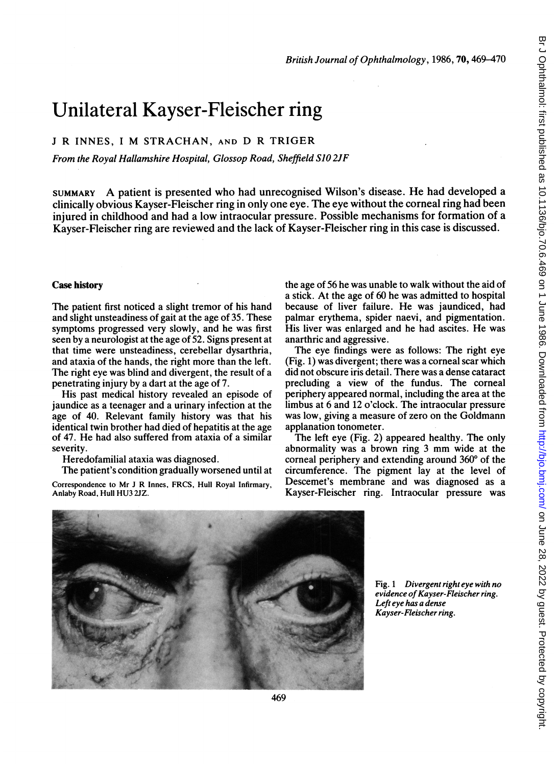# Unilateral Kayser-Fleischer ring

## <sup>J</sup> R INNES, <sup>I</sup> M STRACHAN, AND D R TRIGER

From the Royal Hallamshire Hospital, Glossop Road, Sheffield S10 2JF

SUMMARY A patient is presented who had unrecognised Wilson's disease. He had developed <sup>a</sup> clinically obvious Kayser-Fleischer ring in only one eye. The eye without the corneal ring had been injured in childhood and had a low intraocular pressure. Possible mechanisms for formation of a Kayser-Fleischer ring are reviewed and the lack of Kayser-Fleischer ring in this case is discussed.

#### Case history

The patient first noticed a slight tremor of his hand and slight unsteadiness of gait at the age of 35. These symptoms progressed very slowly, and he was first seen by a neurologist at the age of 52. Signs present at that time were unsteadiness, cerebellar dysarthria, and ataxia of the hands, the right more than the left. The right eye was blind and divergent, the result of a penetrating injury by a dart at the age of 7.

His past medical history revealed an episode of jaundice as a teenager and a urinary infection at the age of 40. Relevant family history was that his identical twin brother had died of hepatitis at the age of 47. He had also suffered from ataxia of <sup>a</sup> similar severity.

Heredofamilial ataxia was diagnosed.

The patient's condition gradually worsened until at Correspondence to Mr <sup>J</sup> R Innes, FRCS, Hull Royal Infirmary, Anlaby Road, Hull HU3 2JZ.

the age of 56 he was unable to walk without the aid of a stick. At the age of 60 he was admitted to hospital because of liver failure. He was jaundiced, had palmar erythema, spider naevi, and pigmentation. His liver was enlarged and he had ascites. He was anarthric and aggressive.

The eye findings were as follows: The right eye (Fig. 1) was divergent; there was a corneal scar which did not obscure iris detail. There was a dense cataract precluding a view of the fundus. The corneal periphery appeared normal, including the area at the limbus at 6 and 12 o'clock. The intraocular pressure was low, giving a measure of zero on the Goldmann applanation tonometer.

The left eye (Fig. 2) appeared healthy. The only abnormality was <sup>a</sup> brown ring <sup>3</sup> mm wide at the corneal periphery and extending around  $360^{\circ}$  of the circumference. The pigment lay at the level of Descemet's membrane and was diagnosed as a Kayser-Fleischer ring. Intraocular pressure was



Fig. 1 Divergent right eye with no evidence of Kayser-Fleischer ring. Left eye has a dense Kayser-Fleischer ring.